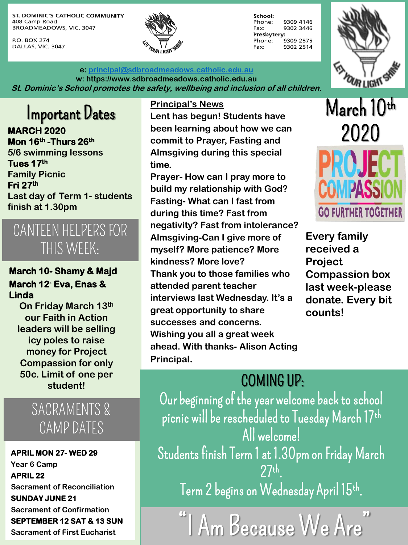ST. DOMINIC'S CATHOLIC COMMUNITY 408 Camp Road BROADMEADOWS, VIC. 3047

P.O. BOX 274 DALLAS, VIC. 3047



**e: [principal@sdbroadmeadows.catholic.edu.au](mailto:principal@sdbroadmeadows.catholic.edu.au) w: https://www.sdbroadmeadows.catholic.edu.au St. Dominic's School promotes the safety, wellbeing and inclusion of all children.**



Important Dates

**MARCH 2020 Mon 16th -Thurs 26th 5/6 swimming lessons Tues 17th Family Picnic Fri 27th Last day of Term 1- students finish at 1.30pm**

## CANTEEN HELPERS FOR THIS WEEK:

#### **March 10- Shamy & Majd March 12- Eva, Enas & Linda**

**our Faith in Action leaders will be selling icy poles to raise money for Project Compassion for only 50c. Limit of one per student!** 

## SACRAMENTS & CAMP DATES

**APRIL MON 27- WED 29 Year 6 Camp APRIL 22 Sacrament of Reconciliation SUNDAY JUNE 21 Sacrament of Confirmation SEPTEMBER 12 SAT & 13 SUN Sacrament of First Eucharist**

**Principal's News**

**Lent has begun! Students have been learning about how we can commit to Prayer, Fasting and Almsgiving during this special time.**

**Prayer- How can I pray more to build my relationship with God? Fasting- What can I fast from during this time? Fast from negativity? Fast from intolerance? Almsgiving-Can I give more of myself? More patience? More kindness? More love? Thank you to those families who attended parent teacher interviews last Wednesday. It's a great opportunity to share counts!**<br> **great opportunity to share <b>counts! successes and concerns. Wishing you all a great week ahead. With thanks- Alison Acting Principal.** 



**Every family received a Project Compassion box last week-please donate. Every bit** 

# COMING UP:

Our beginning of the year welcome back to school picnic will be rescheduled to Tuesday March 17th All welcome! Students finish Term 1 at 1.30pm on Friday March 27th . Term 2 begins on Wednesday April 15th.  $\,$ 

"I Am Because We Are"